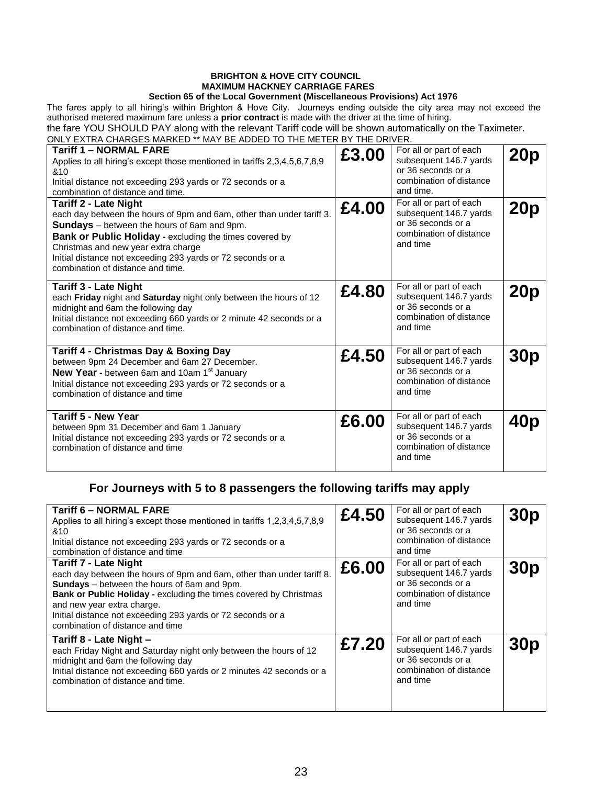## **BRIGHTON & HOVE CITY COUNCIL MAXIMUM HACKNEY CARRIAGE FARES**

## **Section 65 of the Local Government (Miscellaneous Provisions) Act 1976**

The fares apply to all hiring's within Brighton & Hove City. Journeys ending outside the city area may not exceed the authorised metered maximum fare unless a **prior contract** is made with the driver at the time of hiring.

the fare YOU SHOULD PAY along with the relevant Tariff code will be shown automatically on the Taximeter.

ONLY EXTRA CHARGES MARKED \*\* MAY BE ADDED TO THE METER BY THE DRIVER.

| <b>Tariff 1 - NORMAL FARE</b><br>Applies to all hiring's except those mentioned in tariffs 2,3,4,5,6,7,8,9<br>&10<br>Initial distance not exceeding 293 yards or 72 seconds or a<br>combination of distance and time.                                                                                                                                      | £3.00 | For all or part of each<br>subsequent 146.7 yards<br>or 36 seconds or a<br>combination of distance<br>and time. | 20p |
|------------------------------------------------------------------------------------------------------------------------------------------------------------------------------------------------------------------------------------------------------------------------------------------------------------------------------------------------------------|-------|-----------------------------------------------------------------------------------------------------------------|-----|
| <b>Tariff 2 - Late Night</b><br>each day between the hours of 9pm and 6am, other than under tariff 3.<br>Sundays - between the hours of 6am and 9pm.<br>Bank or Public Holiday - excluding the times covered by<br>Christmas and new year extra charge<br>Initial distance not exceeding 293 yards or 72 seconds or a<br>combination of distance and time. | £4.00 | For all or part of each<br>subsequent 146.7 yards<br>or 36 seconds or a<br>combination of distance<br>and time  | 20p |
| <b>Tariff 3 - Late Night</b><br>each Friday night and Saturday night only between the hours of 12<br>midnight and 6am the following day<br>Initial distance not exceeding 660 yards or 2 minute 42 seconds or a<br>combination of distance and time.                                                                                                       | £4.80 | For all or part of each<br>subsequent 146.7 yards<br>or 36 seconds or a<br>combination of distance<br>and time  | 20p |
| <b>Tariff 4 - Christmas Day &amp; Boxing Day</b><br>between 9pm 24 December and 6am 27 December.<br><b>New Year -</b> between 6am and 10am 1 <sup>st</sup> January<br>Initial distance not exceeding 293 yards or 72 seconds or a<br>combination of distance and time                                                                                      | £4.50 | For all or part of each<br>subsequent 146.7 yards<br>or 36 seconds or a<br>combination of distance<br>and time  | 30p |
| <b>Tariff 5 - New Year</b><br>between 9pm 31 December and 6am 1 January<br>Initial distance not exceeding 293 yards or 72 seconds or a<br>combination of distance and time                                                                                                                                                                                 | £6.00 | For all or part of each<br>subsequent 146.7 yards<br>or 36 seconds or a<br>combination of distance<br>and time  | 40p |

## **For Journeys with 5 to 8 passengers the following tariffs may apply**

| <b>Tariff 6 - NORMAL FARE</b><br>Applies to all hiring's except those mentioned in tariffs 1,2,3,4,5,7,8,9<br>&10<br>Initial distance not exceeding 293 yards or 72 seconds or a<br>combination of distance and time                                                                                                                                       | £4.50 | For all or part of each<br>subsequent 146.7 yards<br>or 36 seconds or a<br>combination of distance<br>and time | 30 <sub>p</sub> |
|------------------------------------------------------------------------------------------------------------------------------------------------------------------------------------------------------------------------------------------------------------------------------------------------------------------------------------------------------------|-------|----------------------------------------------------------------------------------------------------------------|-----------------|
| <b>Tariff 7 - Late Night</b><br>each day between the hours of 9pm and 6am, other than under tariff 8.<br>Sundays - between the hours of 6am and 9pm.<br>Bank or Public Holiday - excluding the times covered by Christmas<br>and new year extra charge.<br>Initial distance not exceeding 293 yards or 72 seconds or a<br>combination of distance and time | £6.00 | For all or part of each<br>subsequent 146.7 yards<br>or 36 seconds or a<br>combination of distance<br>and time | 30 <sub>p</sub> |
| Tariff 8 - Late Night -<br>each Friday Night and Saturday night only between the hours of 12<br>midnight and 6am the following day<br>Initial distance not exceeding 660 yards or 2 minutes 42 seconds or a<br>combination of distance and time.                                                                                                           | £7.20 | For all or part of each<br>subsequent 146.7 yards<br>or 36 seconds or a<br>combination of distance<br>and time | 30 <sub>p</sub> |